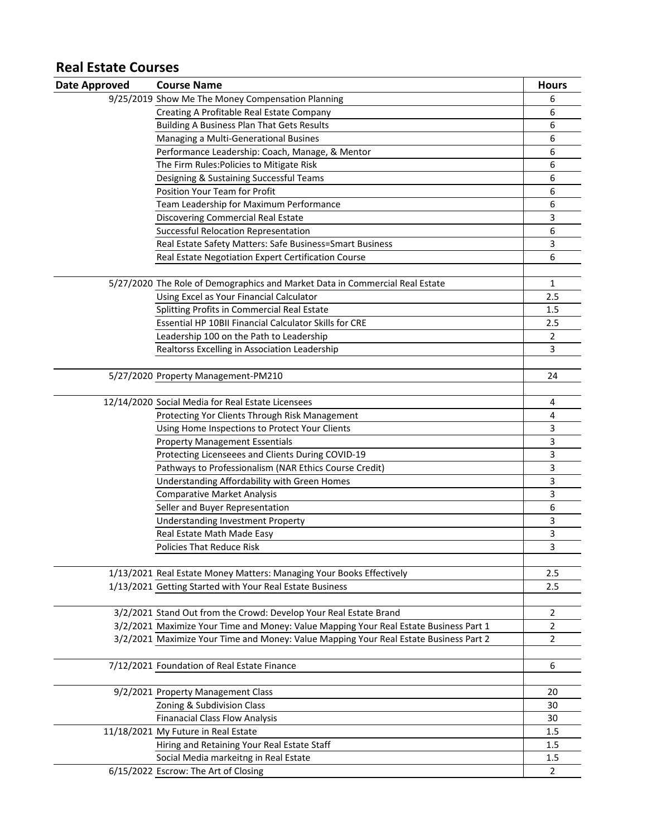## **Real Estate Courses**

| <b>Date Approved</b> | <b>Course Name</b>                                                                    | <b>Hours</b> |
|----------------------|---------------------------------------------------------------------------------------|--------------|
|                      | 9/25/2019 Show Me The Money Compensation Planning                                     | 6            |
|                      | Creating A Profitable Real Estate Company                                             | 6            |
|                      | <b>Building A Business Plan That Gets Results</b>                                     | 6            |
|                      | Managing a Multi-Generational Busines                                                 | 6            |
|                      | Performance Leadership: Coach, Manage, & Mentor                                       | 6            |
|                      | The Firm Rules: Policies to Mitigate Risk                                             | 6            |
|                      | Designing & Sustaining Successful Teams                                               | 6            |
|                      | <b>Position Your Team for Profit</b>                                                  | 6            |
|                      | Team Leadership for Maximum Performance                                               | 6            |
|                      | <b>Discovering Commercial Real Estate</b>                                             | 3            |
|                      | Successful Relocation Representation                                                  | 6            |
|                      | Real Estate Safety Matters: Safe Business=Smart Business                              | 3            |
|                      | Real Estate Negotiation Expert Certification Course                                   | 6            |
|                      |                                                                                       |              |
|                      | 5/27/2020 The Role of Demographics and Market Data in Commercial Real Estate          | $\mathbf 1$  |
|                      | Using Excel as Your Financial Calculator                                              | 2.5          |
|                      | Splitting Profits in Commercial Real Estate                                           | 1.5          |
|                      | Essential HP 10BII Financial Calculator Skills for CRE                                | 2.5          |
|                      | Leadership 100 on the Path to Leadership                                              | 2            |
|                      | Realtorss Excelling in Association Leadership                                         | 3            |
|                      |                                                                                       |              |
|                      | 5/27/2020 Property Management-PM210                                                   | 24           |
|                      |                                                                                       |              |
|                      | 12/14/2020 Social Media for Real Estate Licensees                                     | 4            |
|                      | Protecting Yor Clients Through Risk Management                                        | 4            |
|                      | Using Home Inspections to Protect Your Clients                                        | 3            |
|                      | <b>Property Management Essentials</b>                                                 | 3            |
|                      | Protecting Licenseees and Clients During COVID-19                                     | 3            |
|                      | Pathways to Professionalism (NAR Ethics Course Credit)                                | 3            |
|                      | Understanding Affordability with Green Homes                                          | 3            |
|                      | <b>Comparative Market Analysis</b>                                                    | 3            |
|                      | Seller and Buyer Representation                                                       | 6            |
|                      | <b>Understanding Investment Property</b>                                              | 3            |
|                      | Real Estate Math Made Easy                                                            | 3            |
|                      | <b>Policies That Reduce Risk</b>                                                      | 3            |
|                      |                                                                                       |              |
|                      | 1/13/2021 Real Estate Money Matters: Managing Your Books Effectively                  | 2.5          |
|                      | 1/13/2021 Getting Started with Your Real Estate Business                              | 2.5          |
|                      |                                                                                       |              |
|                      | 3/2/2021 Stand Out from the Crowd: Develop Your Real Estate Brand                     | 2            |
|                      | 3/2/2021 Maximize Your Time and Money: Value Mapping Your Real Estate Business Part 1 | 2            |
|                      | 3/2/2021 Maximize Your Time and Money: Value Mapping Your Real Estate Business Part 2 | 2            |
|                      |                                                                                       |              |
|                      | 7/12/2021 Foundation of Real Estate Finance                                           | 6            |
|                      |                                                                                       |              |
|                      | 9/2/2021 Property Management Class                                                    | 20           |
|                      | Zoning & Subdivision Class                                                            | 30           |
|                      | <b>Finanacial Class Flow Analysis</b>                                                 | 30           |
|                      | 11/18/2021 My Future in Real Estate                                                   | 1.5          |
|                      | Hiring and Retaining Your Real Estate Staff                                           | 1.5          |
|                      | Social Media markeitng in Real Estate                                                 | 1.5          |
|                      | 6/15/2022 Escrow: The Art of Closing                                                  | 2            |